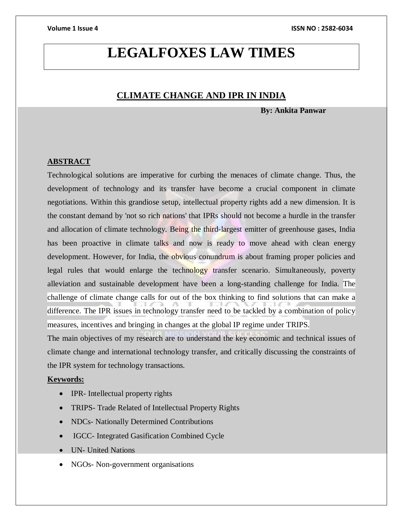# **LEGALFOXES LAW TIMES**

# **CLIMATE CHANGE AND IPR IN INDIA**

**By: Ankita Panwar**

### **ABSTRACT**

Technological solutions are imperative for curbing the menaces of climate change. Thus, the development of technology and its transfer have become a crucial component in climate negotiations. Within this grandiose setup, intellectual property rights add a new dimension. It is the constant demand by 'not so rich nations' that IPRs should not become a hurdle in the transfer and allocation of climate technology. Being the third-largest emitter of greenhouse gases, India has been proactive in climate talks and now is ready to move ahead with clean energy development. However, for India, the obvious conundrum is about framing proper policies and legal rules that would enlarge the technology transfer scenario. Simultaneously, poverty alleviation and sustainable development have been a long-standing challenge for India. The challenge of climate change calls for out of the box thinking to find solutions that can make a difference. The IPR issues in technology transfer need to be tackled by a combination of policy measures, incentives and bringing in changes at the global IP regime under TRIPS.

The main objectives of my research are to understand the key economic and technical issues of climate change and international technology transfer, and critically discussing the constraints of the IPR system for technology transactions.

## **Keywords:**

- IPR- Intellectual property rights
- TRIPS- Trade Related of Intellectual Property Rights
- NDCs- Nationally Determined Contributions
- IGCC- Integrated Gasification Combined Cycle
- UN- United Nations
- NGOs- Non-government organisations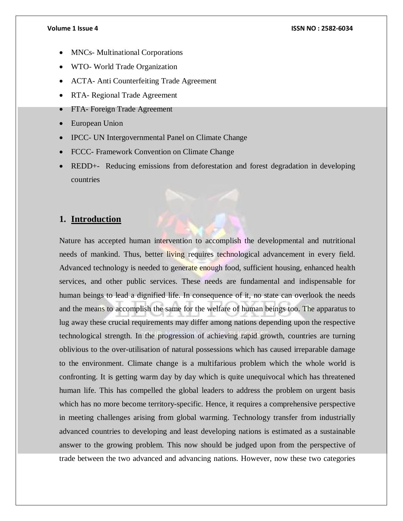- MNCs- Multinational Corporations
- WTO- World Trade Organization
- ACTA- Anti Counterfeiting Trade Agreement
- RTA- Regional Trade Agreement
- FTA- Foreign Trade Agreement
- European Union
- IPCC- UN Intergovernmental Panel on Climate Change
- FCCC- Framework Convention on Climate Change
- REDD+- Reducing emissions from deforestation and forest degradation in developing countries

# **1. Introduction**

Nature has accepted human intervention to accomplish the developmental and nutritional needs of mankind. Thus, better living requires technological advancement in every field. Advanced technology is needed to generate enough food, sufficient housing, enhanced health services, and other public services. These needs are fundamental and indispensable for human beings to lead a dignified life. In consequence of it, no state can overlook the needs and the means to accomplish the same for the welfare of human beings too. The apparatus to lug away these crucial requirements may differ among nations depending upon the respective technological strength. In the progression of achieving rapid growth, countries are turning oblivious to the over-utilisation of natural possessions which has caused irreparable damage to the environment. Climate change is a multifarious problem which the whole world is confronting. It is getting warm day by day which is quite unequivocal which has threatened human life. This has compelled the global leaders to address the problem on urgent basis which has no more become territory-specific. Hence, it requires a comprehensive perspective in meeting challenges arising from global warming. Technology transfer from industrially advanced countries to developing and least developing nations is estimated as a sustainable answer to the growing problem. This now should be judged upon from the perspective of trade between the two advanced and advancing nations. However, now these two categories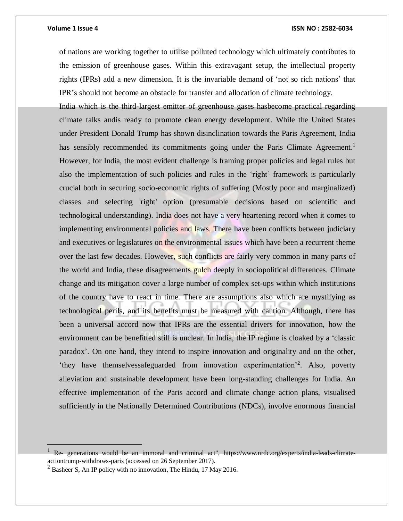#### **Volume 1 Issue 4 ISSN NO : 2582-6034**

of nations are working together to utilise polluted technology which ultimately contributes to the emission of greenhouse gases. Within this extravagant setup, the intellectual property rights (IPRs) add a new dimension. It is the invariable demand of 'not so rich nations' that IPR's should not become an obstacle for transfer and allocation of climate technology.

India which is the third-largest emitter of greenhouse gases hasbecome practical regarding climate talks andis ready to promote clean energy development. While the United States under President Donald Trump has shown disinclination towards the Paris Agreement, India has sensibly recommended its commitments going under the Paris Climate Agreement.<sup>1</sup> However, for India, the most evident challenge is framing proper policies and legal rules but also the implementation of such policies and rules in the 'right' framework is particularly crucial both in securing socio-economic rights of suffering (Mostly poor and marginalized) classes and selecting 'right' option (presumable decisions based on scientific and technological understanding). India does not have a very heartening record when it comes to implementing environmental policies and laws. There have been conflicts between judiciary and executives or legislatures on the environmental issues which have been a recurrent theme over the last few decades. However, such conflicts are fairly very common in many parts of the world and India, these disagreements gulch deeply in sociopolitical differences. Climate change and its mitigation cover a large number of complex set-ups within which institutions of the country have to react in time. There are assumptions also which are mystifying as technological perils, and its benefits must be measured with caution. Although, there has been a universal accord now that IPRs are the essential drivers for innovation, how the environment can be benefitted still is unclear. In India, the IP regime is cloaked by a 'classic paradox'. On one hand, they intend to inspire innovation and originality and on the other, 'they have themselvessafeguarded from innovation experimentation'<sup>2</sup>. Also, poverty alleviation and sustainable development have been long-standing challenges for India. An effective implementation of the Paris accord and climate change action plans, visualised sufficiently in the Nationally Determined Contributions (NDCs), involve enormous financial

 $\overline{a}$ 

<sup>1</sup> Re- generations would be an immoral and criminal act", https://www.nrdc.org/experts/india-leads-climateactiontrump-withdraws-paris (accessed on 26 September 2017).

 $2$  Basheer S, An IP policy with no innovation, The Hindu, 17 May 2016.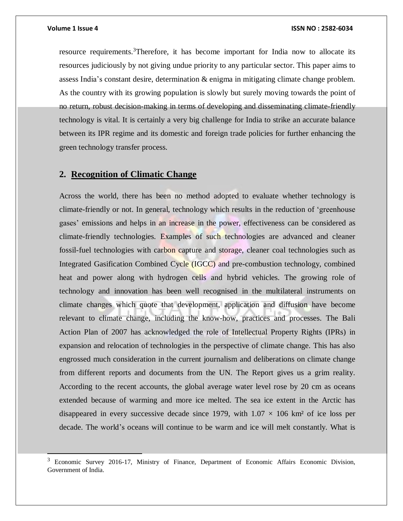$\overline{\phantom{a}}$ 

resource requirements.<sup>3</sup>Therefore, it has become important for India now to allocate its resources judiciously by not giving undue priority to any particular sector. This paper aims to assess India's constant desire, determination & enigma in mitigating climate change problem. As the country with its growing population is slowly but surely moving towards the point of no return, robust decision-making in terms of developing and disseminating climate-friendly technology is vital. It is certainly a very big challenge for India to strike an accurate balance between its IPR regime and its domestic and foreign trade policies for further enhancing the green technology transfer process.

# **2. Recognition of Climatic Change**

Across the world, there has been no method adopted to evaluate whether technology is climate-friendly or not. In general, technology which results in the reduction of 'greenhouse gases' emissions and helps in an increase in the power, effectiveness can be considered as climate-friendly technologies. Examples of such technologies are advanced and cleaner fossil-fuel technologies with carbon capture and storage, cleaner coal technologies such as Integrated Gasification Combined Cycle (IGCC) and pre-combustion technology, combined heat and power along with hydrogen cells and hybrid vehicles. The growing role of technology and innovation has been well recognised in the multilateral instruments on climate changes which quote that development, application and diffusion have become relevant to climate change, including the know-how, practices and processes. The Bali Action Plan of 2007 has acknowledged the role of Intellectual Property Rights (IPRs) in expansion and relocation of technologies in the perspective of climate change. This has also engrossed much consideration in the current journalism and deliberations on climate change from different reports and documents from the UN. The Report gives us a grim reality. According to the recent accounts, the global average water level rose by 20 cm as oceans extended because of warming and more ice melted. The sea ice extent in the Arctic has disappeared in every successive decade since 1979, with  $1.07 \times 106$  km<sup>2</sup> of ice loss per decade. The world's oceans will continue to be warm and ice will melt constantly. What is

<sup>&</sup>lt;sup>3</sup> Economic Survey 2016-17, Ministry of Finance, Department of Economic Affairs Economic Division, Government of India.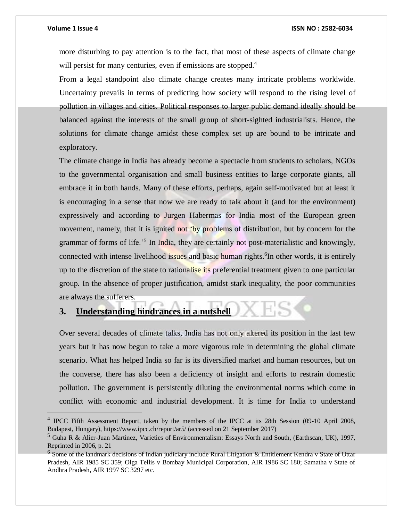$\overline{a}$ 

more disturbing to pay attention is to the fact, that most of these aspects of climate change will persist for many centuries, even if emissions are stopped.<sup>4</sup>

From a legal standpoint also climate change creates many intricate problems worldwide. Uncertainty prevails in terms of predicting how society will respond to the rising level of pollution in villages and cities. Political responses to larger public demand ideally should be balanced against the interests of the small group of short-sighted industrialists. Hence, the solutions for climate change amidst these complex set up are bound to be intricate and exploratory.

The climate change in India has already become a spectacle from students to scholars, NGOs to the governmental organisation and small business entities to large corporate giants, all embrace it in both hands. Many of these efforts, perhaps, again self-motivated but at least it is encouraging in a sense that now we are ready to talk about it (and for the environment) expressively and according to Jurgen Habermas for India most of the European green movement, namely, that it is ignited not 'by problems of distribution, but by concern for the grammar of forms of life.<sup>55</sup> In India, they are certainly not post-materialistic and knowingly, connected with intense livelihood issues and basic human rights. <sup>6</sup>In other words, it is entirely up to the discretion of the state to rationalise its preferential treatment given to one particular group. In the absence of proper justification, amidst stark inequality, the poor communities are always the sufferers.

# **3. Understanding hindrances in a nutshell**

Over several decades of climate talks, India has not only altered its position in the last few years but it has now begun to take a more vigorous role in determining the global climate scenario. What has helped India so far is its diversified market and human resources, but on the converse, there has also been a deficiency of insight and efforts to restrain domestic pollution. The government is persistently diluting the environmental norms which come in conflict with economic and industrial development. It is time for India to understand

<sup>&</sup>lt;sup>4</sup> IPCC Fifth Assessment Report, taken by the members of the IPCC at its 28th Session (09-10 April 2008, Budapest, Hungary), https://www.ipcc.ch/report/ar5/ (accessed on 21 September 2017)

<sup>5</sup> Guha R & Alier-Juan Martinez, Varieties of Environmentalism: Essays North and South, (Earthscan, UK), 1997, Reprinted in 2006, p. 21

<sup>&</sup>lt;sup>6</sup> Some of the landmark decisions of Indian judiciary include Rural Litigation & Entitlement Kendra v State of Uttar Pradesh, AIR 1985 SC 359; Olga Tellis v Bombay Municipal Corporation, AIR 1986 SC 180; Samatha v State of Andhra Pradesh, AIR 1997 SC 3297 etc.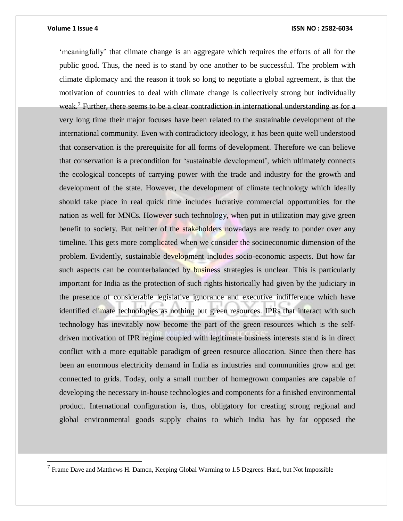$\overline{\phantom{a}}$ 

### **Volume 1 Issue 4 ISSN NO : 2582-6034**

'meaningfully' that climate change is an aggregate which requires the efforts of all for the public good. Thus, the need is to stand by one another to be successful. The problem with climate diplomacy and the reason it took so long to negotiate a global agreement, is that the motivation of countries to deal with climate change is collectively strong but individually weak.<sup>7</sup> Further, there seems to be a clear contradiction in international understanding as for a very long time their major focuses have been related to the sustainable development of the international community. Even with contradictory ideology, it has been quite well understood that conservation is the prerequisite for all forms of development. Therefore we can believe that conservation is a precondition for 'sustainable development', which ultimately connects the ecological concepts of carrying power with the trade and industry for the growth and development of the state. However, the development of climate technology which ideally should take place in real quick time includes lucrative commercial opportunities for the nation as well for MNCs. However such technology, when put in utilization may give green benefit to society. But neither of the stakeholders nowadays are ready to ponder over any timeline. This gets more complicated when we consider the socioeconomic dimension of the problem. Evidently, sustainable development includes socio-economic aspects. But how far such aspects can be counterbalanced by **business** strategies is unclear. This is particularly important for India as the protection of such rights historically had given by the judiciary in the presence of considerable legislative ignorance and executive indifference which have identified climate technologies as nothing but green resources. IPRs that interact with such technology has inevitably now become the part of the green resources which is the selfdriven motivation of IPR regime coupled with legitimate business interests stand is in direct conflict with a more equitable paradigm of green resource allocation. Since then there has been an enormous electricity demand in India as industries and communities grow and get connected to grids. Today, only a small number of homegrown companies are capable of developing the necessary in-house technologies and components for a finished environmental product. International configuration is, thus, obligatory for creating strong regional and global environmental goods supply chains to which India has by far opposed the

 $<sup>7</sup>$  Frame Dave and Matthews H. Damon, Keeping Global Warming to 1.5 Degrees: Hard, but Not Impossible</sup>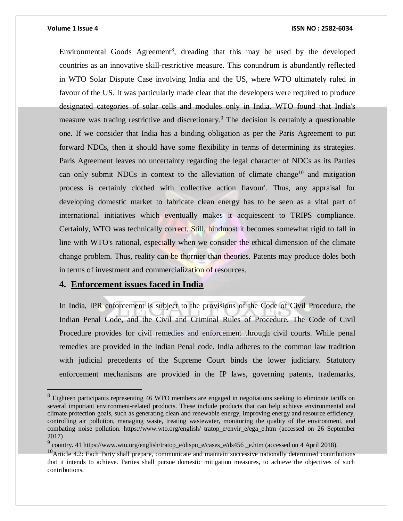$\overline{a}$ 

Environmental Goods Agreement<sup>8</sup>, dreading that this may be used by the developed countries as an innovative skill-restrictive measure. This conundrum is abundantly reflected in WTO Solar Dispute Case involving India and the US, where WTO ultimately ruled in favour of the US. It was particularly made clear that the developers were required to produce designated categories of solar cells and modules only in India. WTO found that India's measure was trading restrictive and discretionary.<sup>9</sup> The decision is certainly a questionable one. If we consider that India has a binding obligation as per the Paris Agreement to put forward NDCs, then it should have some flexibility in terms of determining its strategies. Paris Agreement leaves no uncertainty regarding the legal character of NDCs as its Parties can only submit NDCs in context to the alleviation of climate change<sup>10</sup> and mitigation process is certainly clothed with 'collective action flavour'. Thus, any appraisal for developing domestic market to fabricate clean energy has to be seen as a vital part of international initiatives which eventually makes it acquiescent to TRIPS compliance. Certainly, WTO was technically correct. Still, hindmost it becomes somewhat rigid to fall in line with WTO's rational, especially when we consider the ethical dimension of the climate change problem. Thus, reality can be thornier than theories. Patents may produce doles both in terms of investment and commercialization of resources.

# **4. Enforcement issues faced in India**

In India, IPR enforcement is subject to the provisions of the Code of Civil Procedure, the Indian Penal Code, and the Civil and Criminal Rules of Procedure. The Code of Civil Procedure provides for civil remedies and enforcement through civil courts. While penal remedies are provided in the Indian Penal code. India adheres to the common law tradition with judicial precedents of the Supreme Court binds the lower judiciary. Statutory enforcement mechanisms are provided in the IP laws, governing patents, trademarks,

<sup>&</sup>lt;sup>8</sup> Eighteen participants representing 46 WTO members are engaged in negotiations seeking to eliminate tariffs on several important environment-related products. These include products that can help achieve environmental and climate protection goals, such as generating clean and renewable energy, improving energy and resource efficiency, controlling air pollution, managing waste, treating wastewater, monitoring the quality of the environment, and combating noise pollution. https://www.wto.org/english/ tratop e/envir e/ega e.htm (accessed on 26 September 2017)

 $^{9}$  country. 41 https://www.wto.org/english/tratop\_e/dispu\_e/cases\_e/ds456 \_e.htm (accessed on 4 April 2018).

 $10$ Article 4.2: Each Party shall prepare, communicate and maintain successive nationally determined contributions that it intends to achieve. Parties shall pursue domestic mitigation measures, to achieve the objectives of such contributions.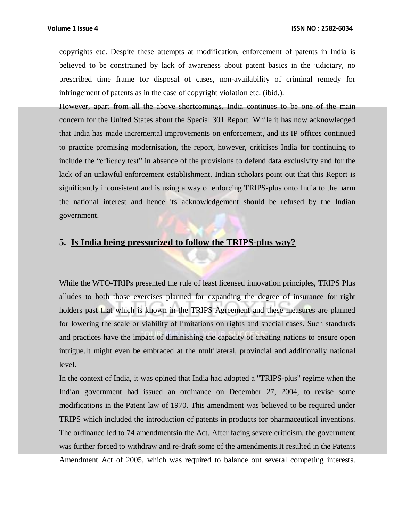copyrights etc. Despite these attempts at modification, enforcement of patents in India is believed to be constrained by lack of awareness about patent basics in the judiciary, no prescribed time frame for disposal of cases, non-availability of criminal remedy for infringement of patents as in the case of copyright violation etc. (ibid.).

However, apart from all the above shortcomings, India continues to be one of the main concern for the United States about the Special 301 Report. While it has now acknowledged that India has made incremental improvements on enforcement, and its IP offices continued to practice promising modernisation, the report, however, criticises India for continuing to include the "efficacy test" in absence of the provisions to defend data exclusivity and for the lack of an unlawful enforcement establishment. Indian scholars point out that this Report is significantly inconsistent and is using a way of enforcing TRIPS-plus onto India to the harm the national interest and hence its acknowledgement should be refused by the Indian government.

# **5. Is India being pressurized to follow the TRIPS-plus way?**

While the WTO-TRIPs presented the rule of least licensed innovation principles, TRIPS Plus alludes to both those exercises planned for expanding the degree of insurance for right holders past that which is known in the TRIPS Agreement and these measures are planned for lowering the scale or viability of limitations on rights and special cases. Such standards and practices have the impact of diminishing the capacity of creating nations to ensure open intrigue.It might even be embraced at the multilateral, provincial and additionally national level.

In the context of India, it was opined that India had adopted a "TRIPS-plus" regime when the Indian government had issued an ordinance on December 27, 2004, to revise some modifications in the Patent law of 1970. This amendment was believed to be required under TRIPS which included the introduction of patents in products for pharmaceutical inventions. The ordinance led to 74 amendmentsin the Act. After facing severe criticism, the government was further forced to withdraw and re-draft some of the amendments.It resulted in the Patents Amendment Act of 2005, which was required to balance out several competing interests.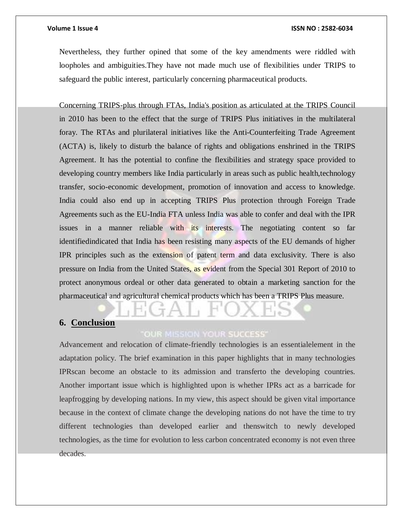### **Volume 1 Issue 4 ISSN NO : 2582-6034**

Nevertheless, they further opined that some of the key amendments were riddled with loopholes and ambiguities.They have not made much use of flexibilities under TRIPS to safeguard the public interest, particularly concerning pharmaceutical products.

Concerning TRIPS-plus through FTAs, India's position as articulated at the TRIPS Council in 2010 has been to the effect that the surge of TRIPS Plus initiatives in the multilateral foray. The RTAs and plurilateral initiatives like the Anti-Counterfeiting Trade Agreement (ACTA) is, likely to disturb the balance of rights and obligations enshrined in the TRIPS Agreement. It has the potential to confine the flexibilities and strategy space provided to developing country members like India particularly in areas such as public health,technology transfer, socio-economic development, promotion of innovation and access to knowledge. India could also end up in accepting TRIPS Plus protection through Foreign Trade Agreements such as the EU-India FTA unless India was able to confer and deal with the IPR issues in a manner reliable with its interests. The negotiating content so far identifiedindicated that India has been resisting many aspects of the EU demands of higher IPR principles such as the extension of patent term and data exclusivity. There is also pressure on India from the United States, as evident from the Special 301 Report of 2010 to protect anonymous ordeal or other data generated to obtain a marketing sanction for the pharmaceutical and agricultural chemical products which has been a TRIPS Plus measure.

# **6. Conclusion**

# **OUR MISSION YOUR SUCCESS**

Advancement and relocation of climate-friendly technologies is an essentialelement in the adaptation policy. The brief examination in this paper highlights that in many technologies IPRscan become an obstacle to its admission and transferto the developing countries. Another important issue which is highlighted upon is whether IPRs act as a barricade for leapfrogging by developing nations. In my view, this aspect should be given vital importance because in the context of climate change the developing nations do not have the time to try different technologies than developed earlier and thenswitch to newly developed technologies, as the time for evolution to less carbon concentrated economy is not even three decades.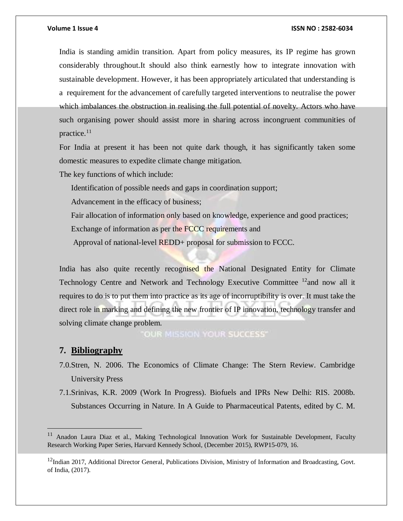India is standing amidin transition. Apart from policy measures, its IP regime has grown considerably throughout.It should also think earnestly how to integrate innovation with sustainable development. However, it has been appropriately articulated that understanding is a requirement for the advancement of carefully targeted interventions to neutralise the power which imbalances the obstruction in realising the full potential of novelty. Actors who have such organising power should assist more in sharing across incongruent communities of practice.<sup>11</sup>

For India at present it has been not quite dark though, it has significantly taken some domestic measures to expedite climate change mitigation.

The key functions of which include:

Identification of possible needs and gaps in coordination support;

Advancement in the efficacy of business;

Fair allocation of information only based on knowledge, experience and good practices;

Exchange of information as per the FCCC requirements and

Approval of national-level REDD+ proposal for submission to FCCC.

India has also quite recently recognised the National Designated Entity for Climate Technology Centre and Network and Technology Executive Committee  $12$  and now all it requires to do is to put them into practice as its age of incorruptibility is over. It must take the direct role in marking and defining the new frontier of IP innovation, technology transfer and solving climate change problem.

**OUR MISSION YOUR SUCCESS'** 

# **7. Bibliography**

 $\overline{a}$ 

- 7.0.Stren, N. 2006. The Economics of Climate Change: The Stern Review. Cambridge University Press
- 7.1.Srinivas, K.R. 2009 (Work In Progress). Biofuels and IPRs New Delhi: RIS. 2008b. Substances Occurring in Nature. In A Guide to Pharmaceutical Patents, edited by C. M.

<sup>&</sup>lt;sup>11</sup> Anadon Laura Diaz et al., Making Technological Innovation Work for Sustainable Development, Faculty Research Working Paper Series, Harvard Kennedy School, (December 2015), RWP15-079, 16.

<sup>&</sup>lt;sup>12</sup>Indian 2017, Additional Director General, Publications Division, Ministry of Information and Broadcasting, Govt. of India, (2017).